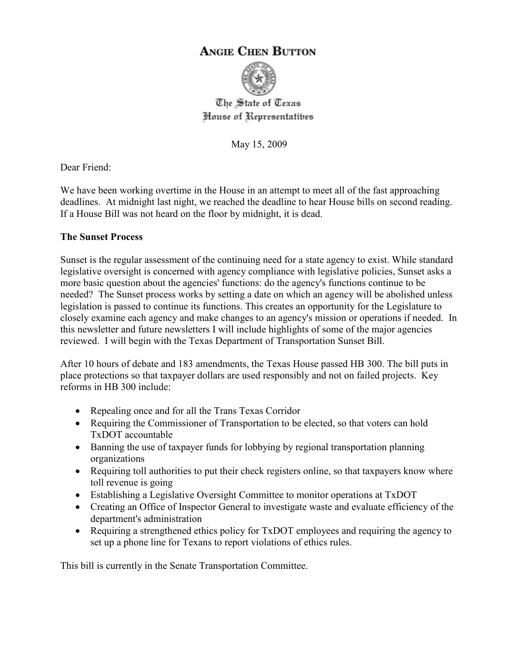## **ANGIE CHEN BUTTON**



The State of Texas **House of Representatives** 

May 15, 2009

Dear Friend:

We have been working overtime in the House in an attempt to meet all of the fast approaching deadlines. At midnight last night, we reached the deadline to hear House bills on second reading. If a House Bill was not heard on the floor by midnight, it is dead.

## **The Sunset Process**

Sunset is the regular assessment of the continuing need for a state agency to exist. While standard legislative oversight is concerned with agency compliance with legislative policies, Sunset asks a more basic question about the agencies' functions: do the agency's functions continue to be needed? The Sunset process works by setting a date on which an agency will be abolished unless legislation is passed to continue its functions. This creates an opportunity for the Legislature to closely examine each agency and make changes to an agency's mission or operations if needed. In this newsletter and future newsletters I will include highlights of some of the major agencies reviewed. I will begin with the Texas Department of Transportation Sunset Bill.

After 10 hours of debate and 183 amendments, the Texas House passed HB 300. The bill puts in place protections so that taxpayer dollars are used responsibly and not on failed projects. Key reforms in HB 300 include:

- Repealing once and for all the Trans Texas Corridor
- Requiring the Commissioner of Transportation to be elected, so that voters can hold TxDOT accountable
- Banning the use of taxpayer funds for lobbying by regional transportation planning organizations
- Requiring toll authorities to put their check registers online, so that taxpayers know where toll revenue is going
- Establishing a Legislative Oversight Committee to monitor operations at TxDOT
- Creating an Office of Inspector General to investigate waste and evaluate efficiency of the department's administration
- Requiring a strengthened ethics policy for TxDOT employees and requiring the agency to set up a phone line for Texans to report violations of ethics rules.

This bill is currently in the Senate Transportation Committee.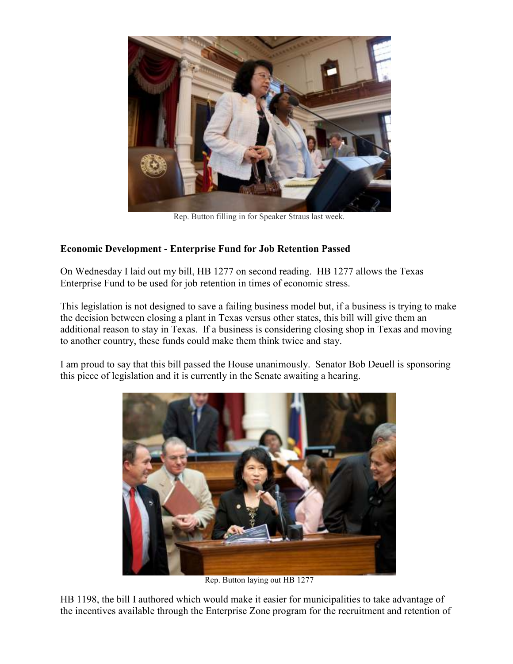

Rep. Button filling in for Speaker Straus last week.

## **Economic Development - Enterprise Fund for Job Retention Passed**

On Wednesday I laid out my bill, HB 1277 on second reading. HB 1277 allows the Texas Enterprise Fund to be used for job retention in times of economic stress.

This legislation is not designed to save a failing business model but, if a business is trying to make the decision between closing a plant in Texas versus other states, this bill will give them an additional reason to stay in Texas. If a business is considering closing shop in Texas and moving to another country, these funds could make them think twice and stay.

I am proud to say that this bill passed the House unanimously. Senator Bob Deuell is sponsoring this piece of legislation and it is currently in the Senate awaiting a hearing.



Rep. Button laying out HB 1277

HB 1198, the bill I authored which would make it easier for municipalities to take advantage of the incentives available through the Enterprise Zone program for the recruitment and retention of